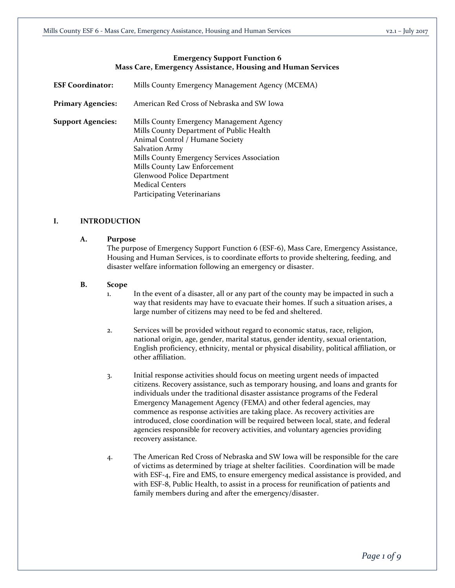## **Emergency Support Function 6 Mass Care, Emergency Assistance, Housing and Human Services**

| <b>ESF Coordinator:</b>  | Mills County Emergency Management Agency (MCEMA)                                                                                                                                                                                                                                                                |  |  |  |
|--------------------------|-----------------------------------------------------------------------------------------------------------------------------------------------------------------------------------------------------------------------------------------------------------------------------------------------------------------|--|--|--|
| <b>Primary Agencies:</b> | American Red Cross of Nebraska and SW Iowa                                                                                                                                                                                                                                                                      |  |  |  |
| <b>Support Agencies:</b> | Mills County Emergency Management Agency<br>Mills County Department of Public Health<br>Animal Control / Humane Society<br>Salvation Army<br>Mills County Emergency Services Association<br>Mills County Law Enforcement<br>Glenwood Police Department<br><b>Medical Centers</b><br>Participating Veterinarians |  |  |  |

# **I. INTRODUCTION**

#### **A. Purpose**

The purpose of Emergency Support Function 6 (ESF-6), Mass Care, Emergency Assistance, Housing and Human Services, is to coordinate efforts to provide sheltering, feeding, and disaster welfare information following an emergency or disaster.

#### **B. Scope**

- 1. In the event of a disaster, all or any part of the county may be impacted in such a way that residents may have to evacuate their homes. If such a situation arises, a large number of citizens may need to be fed and sheltered.
- 2. Services will be provided without regard to economic status, race, religion, national origin, age, gender, marital status, gender identity, sexual orientation, English proficiency, ethnicity, mental or physical disability, political affiliation, or other affiliation.
- 3. Initial response activities should focus on meeting urgent needs of impacted citizens. Recovery assistance, such as temporary housing, and loans and grants for individuals under the traditional disaster assistance programs of the Federal Emergency Management Agency (FEMA) and other federal agencies, may commence as response activities are taking place. As recovery activities are introduced, close coordination will be required between local, state, and federal agencies responsible for recovery activities, and voluntary agencies providing recovery assistance.
- 4. The American Red Cross of Nebraska and SW Iowa will be responsible for the care of victims as determined by triage at shelter facilities. Coordination will be made with ESF-4, Fire and EMS, to ensure emergency medical assistance is provided, and with ESF-8, Public Health, to assist in a process for reunification of patients and family members during and after the emergency/disaster.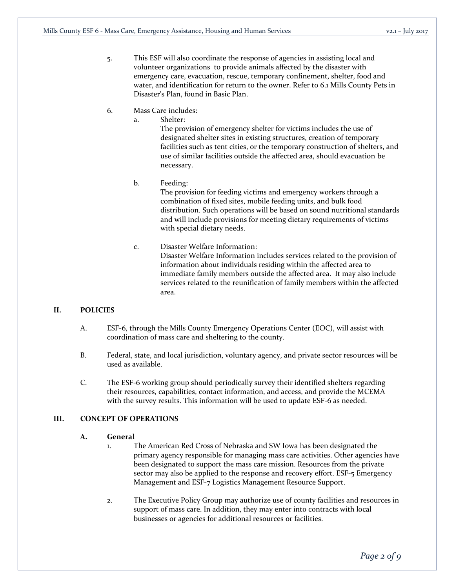- 5. This ESF will also coordinate the response of agencies in assisting local and volunteer organizations to provide animals affected by the disaster with emergency care, evacuation, rescue, temporary confinement, shelter, food and water, and identification for return to the owner. Refer to 6.1 Mills County Pets in Disaster's Plan, found in Basic Plan.
- 6. Mass Care includes:
	- a. Shelter:

The provision of emergency shelter for victims includes the use of designated shelter sites in existing structures, creation of temporary facilities such as tent cities, or the temporary construction of shelters, and use of similar facilities outside the affected area, should evacuation be necessary.

b. Feeding:

The provision for feeding victims and emergency workers through a combination of fixed sites, mobile feeding units, and bulk food distribution. Such operations will be based on sound nutritional standards and will include provisions for meeting dietary requirements of victims with special dietary needs.

c. Disaster Welfare Information: Disaster Welfare Information includes services related to the provision of information about individuals residing within the affected area to immediate family members outside the affected area. It may also include services related to the reunification of family members within the affected area.

## **II. POLICIES**

- A. ESF-6, through the Mills County Emergency Operations Center (EOC), will assist with coordination of mass care and sheltering to the county.
- B. Federal, state, and local jurisdiction, voluntary agency, and private sector resources will be used as available.
- C. The ESF-6 working group should periodically survey their identified shelters regarding their resources, capabilities, contact information, and access, and provide the MCEMA with the survey results. This information will be used to update ESF-6 as needed.

# **III. CONCEPT OF OPERATIONS**

## **A. General**

- 1. The American Red Cross of Nebraska and SW Iowa has been designated the primary agency responsible for managing mass care activities. Other agencies have been designated to support the mass care mission. Resources from the private sector may also be applied to the response and recovery effort. ESF-5 Emergency Management and ESF-7 Logistics Management Resource Support.
- 2. The Executive Policy Group may authorize use of county facilities and resources in support of mass care. In addition, they may enter into contracts with local businesses or agencies for additional resources or facilities.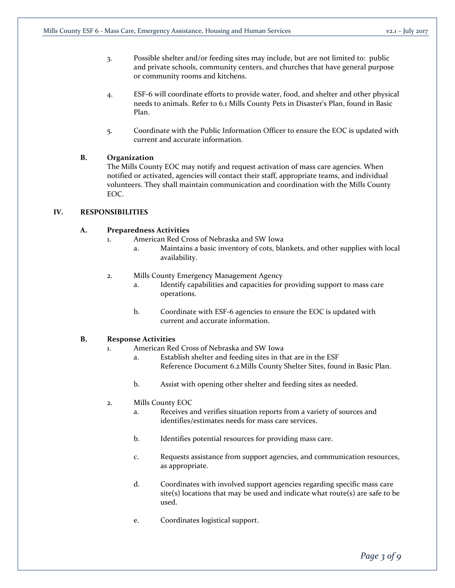- 3. Possible shelter and/or feeding sites may include, but are not limited to: public and private schools, community centers, and churches that have general purpose or community rooms and kitchens.
- 4. ESF-6 will coordinate efforts to provide water, food, and shelter and other physical needs to animals. Refer to 6.1 Mills County Pets in Disaster's Plan, found in Basic Plan.
- 5. Coordinate with the Public Information Officer to ensure the EOC is updated with current and accurate information.

# **B. Organization**

The Mills County EOC may notify and request activation of mass care agencies. When notified or activated, agencies will contact their staff, appropriate teams, and individual volunteers. They shall maintain communication and coordination with the Mills County EOC.

# **IV. RESPONSIBILITIES**

# **A. Preparedness Activities**

- 1. American Red Cross of Nebraska and SW Iowa
	- a. Maintains a basic inventory of cots, blankets, and other supplies with local availability.
- 2. Mills County Emergency Management Agency
	- a. Identify capabilities and capacities for providing support to mass care operations.
	- b. Coordinate with ESF-6 agencies to ensure the EOC is updated with current and accurate information.

## **B. Response Activities**

- 1. American Red Cross of Nebraska and SW Iowa
	- a. Establish shelter and feeding sites in that are in the ESF Reference Document 6.2Mills County Shelter Sites, found in Basic Plan.
	- b. Assist with opening other shelter and feeding sites as needed.
- 2. Mills County EOC
	- a. Receives and verifies situation reports from a variety of sources and identifies/estimates needs for mass care services.
	- b. Identifies potential resources for providing mass care.
	- c. Requests assistance from support agencies, and communication resources, as appropriate.
	- d. Coordinates with involved support agencies regarding specific mass care site(s) locations that may be used and indicate what route(s) are safe to be used.
	- e. Coordinates logistical support.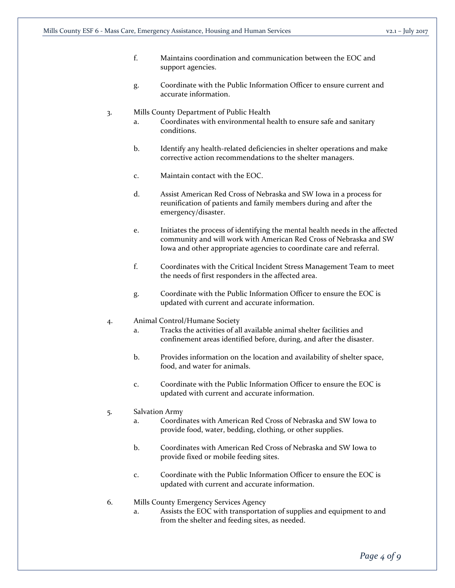- f. Maintains coordination and communication between the EOC and support agencies.
- g. Coordinate with the Public Information Officer to ensure current and accurate information.

#### 3. Mills County Department of Public Health

- a. Coordinates with environmental health to ensure safe and sanitary conditions.
- b. Identify any health-related deficiencies in shelter operations and make corrective action recommendations to the shelter managers.
- c. Maintain contact with the EOC.
- d. Assist American Red Cross of Nebraska and SW Iowa in a process for reunification of patients and family members during and after the emergency/disaster.
- e. Initiates the process of identifying the mental health needs in the affected community and will work with American Red Cross of Nebraska and SW Iowa and other appropriate agencies to coordinate care and referral.
- f. Coordinates with the Critical Incident Stress Management Team to meet the needs of first responders in the affected area.
- g. Coordinate with the Public Information Officer to ensure the EOC is updated with current and accurate information.

#### 4. Animal Control/Humane Society

- a. Tracks the activities of all available animal shelter facilities and confinement areas identified before, during, and after the disaster.
- b. Provides information on the location and availability of shelter space, food, and water for animals.
- c. Coordinate with the Public Information Officer to ensure the EOC is updated with current and accurate information.

#### 5. Salvation Army

- a. Coordinates with American Red Cross of Nebraska and SW Iowa to provide food, water, bedding, clothing, or other supplies.
- b. Coordinates with American Red Cross of Nebraska and SW Iowa to provide fixed or mobile feeding sites.
- c. Coordinate with the Public Information Officer to ensure the EOC is updated with current and accurate information.

#### 6. Mills County Emergency Services Agency

a. Assists the EOC with transportation of supplies and equipment to and from the shelter and feeding sites, as needed.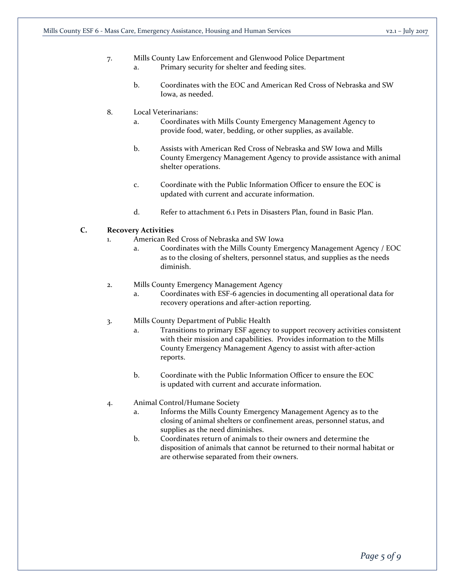## 7. Mills County Law Enforcement and Glenwood Police Department a. Primary security for shelter and feeding sites.

b. Coordinates with the EOC and American Red Cross of Nebraska and SW Iowa, as needed.

## 8. Local Veterinarians:

- a. Coordinates with Mills County Emergency Management Agency to provide food, water, bedding, or other supplies, as available.
- b. Assists with American Red Cross of Nebraska and SW Iowa and Mills County Emergency Management Agency to provide assistance with animal shelter operations.
- c. Coordinate with the Public Information Officer to ensure the EOC is updated with current and accurate information.
- d. Refer to attachment 6.1 Pets in Disasters Plan, found in Basic Plan.

# **C. Recovery Activities**

- 1. American Red Cross of Nebraska and SW Iowa
	- a. Coordinates with the Mills County Emergency Management Agency / EOC as to the closing of shelters, personnel status, and supplies as the needs diminish.
- 2. Mills County Emergency Management Agency
	- a. Coordinates with ESF-6 agencies in documenting all operational data for recovery operations and after-action reporting.

## 3. Mills County Department of Public Health

- a. Transitions to primary ESF agency to support recovery activities consistent with their mission and capabilities. Provides information to the Mills County Emergency Management Agency to assist with after-action reports.
- b. Coordinate with the Public Information Officer to ensure the EOC is updated with current and accurate information.

## 4. Animal Control/Humane Society

- a. Informs the Mills County Emergency Management Agency as to the closing of animal shelters or confinement areas, personnel status, and supplies as the need diminishes.
- b. Coordinates return of animals to their owners and determine the disposition of animals that cannot be returned to their normal habitat or are otherwise separated from their owners.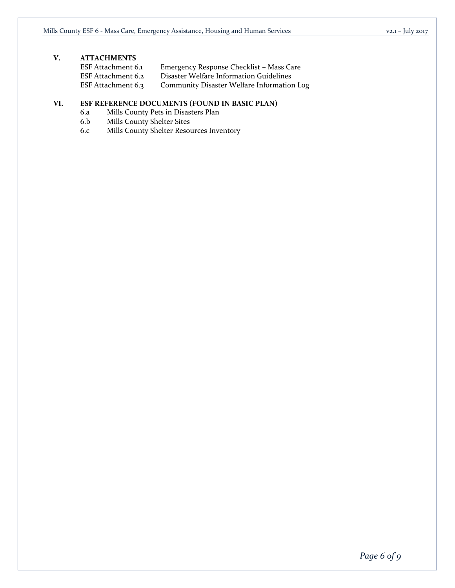# **V. ATTACHMENTS**

| ESF Attachment 6.1 | Emergency Response Checklist - Mass Care   |
|--------------------|--------------------------------------------|
| ESF Attachment 6.2 | Disaster Welfare Information Guidelines    |
| ESF Attachment 6.3 | Community Disaster Welfare Information Log |

# **VI. ESF REFERENCE DOCUMENTS (FOUND IN BASIC PLAN)**

- 6.a Mills County Pets in Disasters Plan
- 6.b Mills County Shelter Sites
- 6.c Mills County Shelter Resources Inventory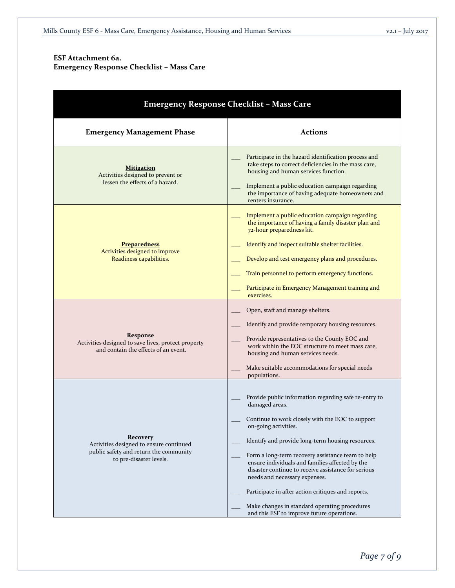# **ESF Attachment 6a. Emergency Response Checklist – Mass Care**

| <b>Emergency Response Checklist - Mass Care</b>                                                                                 |                                                                                                                                                                                                                                                                                                                                                                                                                                                                                                                                                               |  |  |  |  |  |  |
|---------------------------------------------------------------------------------------------------------------------------------|---------------------------------------------------------------------------------------------------------------------------------------------------------------------------------------------------------------------------------------------------------------------------------------------------------------------------------------------------------------------------------------------------------------------------------------------------------------------------------------------------------------------------------------------------------------|--|--|--|--|--|--|
| <b>Emergency Management Phase</b>                                                                                               | <b>Actions</b>                                                                                                                                                                                                                                                                                                                                                                                                                                                                                                                                                |  |  |  |  |  |  |
| <b>Mitigation</b><br>Activities designed to prevent or<br>lessen the effects of a hazard.                                       | Participate in the hazard identification process and<br>take steps to correct deficiencies in the mass care,<br>housing and human services function.<br>Implement a public education campaign regarding<br>the importance of having adequate homeowners and<br>renters insurance.                                                                                                                                                                                                                                                                             |  |  |  |  |  |  |
| <b>Preparedness</b><br>Activities designed to improve<br>Readiness capabilities.                                                | Implement a public education campaign regarding<br>the importance of having a family disaster plan and<br>72-hour preparedness kit.<br>Identify and inspect suitable shelter facilities.<br>Develop and test emergency plans and procedures.<br>Train personnel to perform emergency functions.<br>Participate in Emergency Management training and<br>exercises.                                                                                                                                                                                             |  |  |  |  |  |  |
| <b>Response</b><br>Activities designed to save lives, protect property<br>and contain the effects of an event.                  | Open, staff and manage shelters.<br>Identify and provide temporary housing resources.<br>Provide representatives to the County EOC and<br>work within the EOC structure to meet mass care,<br>housing and human services needs.<br>Make suitable accommodations for special needs<br>populations.                                                                                                                                                                                                                                                             |  |  |  |  |  |  |
| <b>Recovery</b><br>Activities designed to ensure continued<br>public safety and return the community<br>to pre-disaster levels. | Provide public information regarding safe re-entry to<br>damaged areas.<br>Continue to work closely with the EOC to support<br>on-going activities.<br>Identify and provide long-term housing resources.<br>Form a long-term recovery assistance team to help<br>ensure individuals and families affected by the<br>disaster continue to receive assistance for serious<br>needs and necessary expenses.<br>Participate in after action critiques and reports.<br>Make changes in standard operating procedures<br>and this ESF to improve future operations. |  |  |  |  |  |  |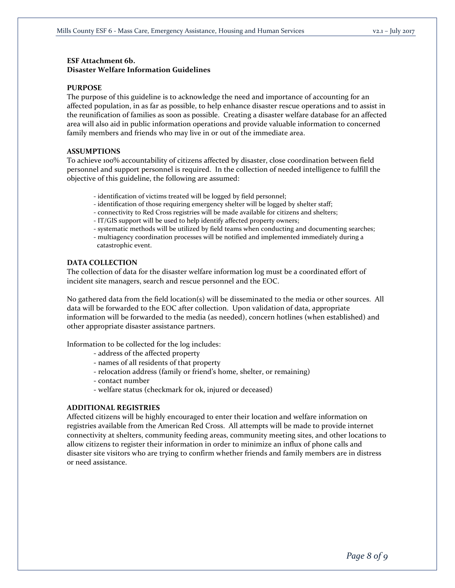# **ESF Attachment 6b. Disaster Welfare Information Guidelines**

#### **PURPOSE**

The purpose of this guideline is to acknowledge the need and importance of accounting for an affected population, in as far as possible, to help enhance disaster rescue operations and to assist in the reunification of families as soon as possible. Creating a disaster welfare database for an affected area will also aid in public information operations and provide valuable information to concerned family members and friends who may live in or out of the immediate area.

#### **ASSUMPTIONS**

To achieve 100% accountability of citizens affected by disaster, close coordination between field personnel and support personnel is required. In the collection of needed intelligence to fulfill the objective of this guideline, the following are assumed:

- identification of victims treated will be logged by field personnel;
- identification of those requiring emergency shelter will be logged by shelter staff;
- connectivity to Red Cross registries will be made available for citizens and shelters;
- IT/GIS support will be used to help identify affected property owners;
- systematic methods will be utilized by field teams when conducting and documenting searches;
- multiagency coordination processes will be notified and implemented immediately during a catastrophic event.

#### **DATA COLLECTION**

The collection of data for the disaster welfare information log must be a coordinated effort of incident site managers, search and rescue personnel and the EOC.

No gathered data from the field location(s) will be disseminated to the media or other sources. All data will be forwarded to the EOC after collection. Upon validation of data, appropriate information will be forwarded to the media (as needed), concern hotlines (when established) and other appropriate disaster assistance partners.

Information to be collected for the log includes:

- address of the affected property
- names of all residents of that property
- relocation address (family or friend's home, shelter, or remaining)
- contact number
- welfare status (checkmark for ok, injured or deceased)

#### **ADDITIONAL REGISTRIES**

Affected citizens will be highly encouraged to enter their location and welfare information on registries available from the American Red Cross. All attempts will be made to provide internet connectivity at shelters, community feeding areas, community meeting sites, and other locations to allow citizens to register their information in order to minimize an influx of phone calls and disaster site visitors who are trying to confirm whether friends and family members are in distress or need assistance.